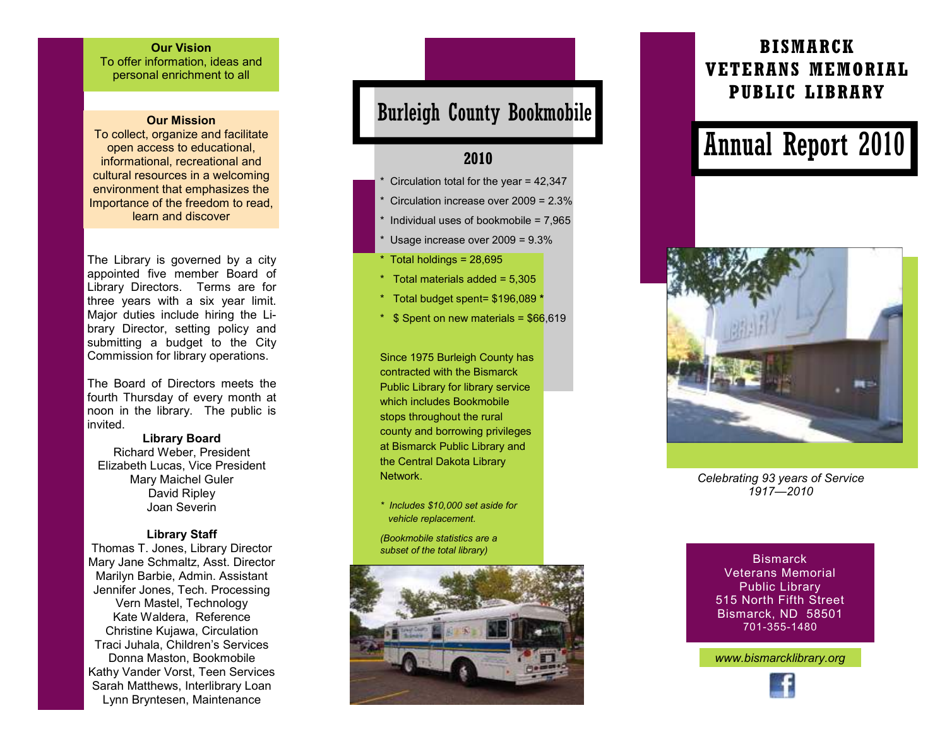#### Our Vision To offer information, ideas and

personal enrichment to all

#### Our Mission

 To collect, organize and facilitate open access to educational, informational, recreational and cultural resources in a welcoming environment that emphasizes the Importance of the freedom to read, learn and discover

The Library is governed by a city appointed five member Board of Library Directors. Terms are for three years with a six year limit. Major duties include hiring the Library Director, setting policy and submitting a budget to the City Commission for library operations.

The Board of Directors meets the fourth Thursday of every month at noon in the library. The public is invited.

Library Board Richard Weber, President Elizabeth Lucas, Vice President Mary Maichel Guler David Ripley Joan Severin

#### Library Staff

 Thomas T. Jones, Library Director Mary Jane Schmaltz, Asst. Director Marilyn Barbie, Admin. Assistant Jennifer Jones, Tech. Processing Vern Mastel, Technology Kate Waldera, Reference Christine Kujawa, Circulation Traci Juhala, Children's Services Donna Maston, Bookmobile Kathy Vander Vorst, Teen Services Sarah Matthews, Interlibrary Loan Lynn Bryntesen, Maintenance

# Burleigh County Bookmobile

### 2010

- Circulation total for the year =  $42,347$
- Circulation increase over  $2009 = 2.3\%$
- Individual uses of bookmobile =  $7.965$
- Usage increase over  $2009 = 9.3\%$
- $*$  Total holdings = 28,695
- \* Total materials added = 5,305
- \* Total budget spent= \$196,089 \*
- $*$  \$ Spent on new materials =  $$66,619$

Since 1975 Burleigh County has contracted with the Bismarck Public Library for library service which includes Bookmobile stops throughout the rural county and borrowing privileges at Bismarck Public Library and the Central Dakota Library **Network** 

\* Includes \$10,000 set aside for vehicle replacement.

(Bookmobile statistics are a subset of the total library)



# BISMARCK VETERANS MEMORIAL PUBLIC LIBRARY

# Annual Report 2010



Celebrating 93 years of Service 1917—2010

**Bismarck**  Veterans Memorial Public Library 515 North Fifth Street Bismarck, ND 58501 701-355-1480

www.bismarcklibrary.org